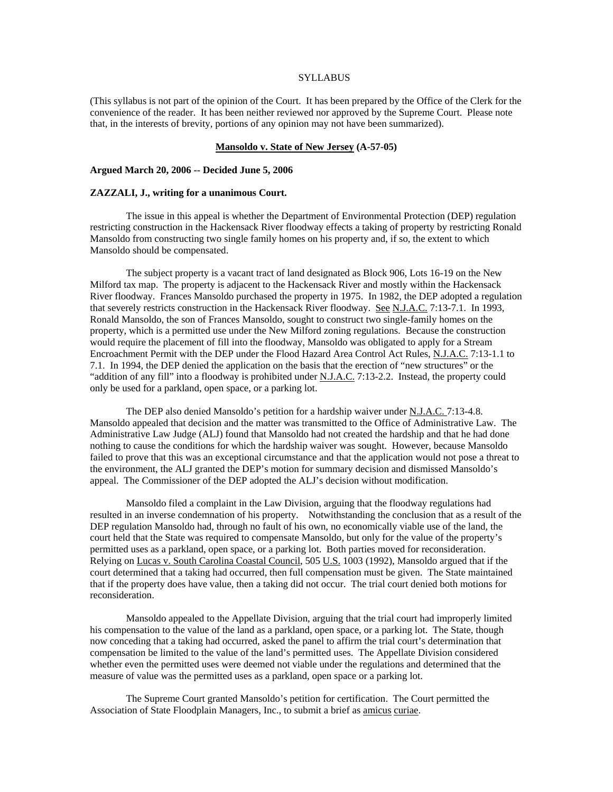### **SYLLABUS**

(This syllabus is not part of the opinion of the Court. It has been prepared by the Office of the Clerk for the convenience of the reader. It has been neither reviewed nor approved by the Supreme Court. Please note that, in the interests of brevity, portions of any opinion may not have been summarized).

#### **Mansoldo v. State of New Jersey (A-57-05)**

### **Argued March 20, 2006 -- Decided June 5, 2006**

### **ZAZZALI, J., writing for a unanimous Court.**

 The issue in this appeal is whether the Department of Environmental Protection (DEP) regulation restricting construction in the Hackensack River floodway effects a taking of property by restricting Ronald Mansoldo from constructing two single family homes on his property and, if so, the extent to which Mansoldo should be compensated.

 The subject property is a vacant tract of land designated as Block 906, Lots 16-19 on the New Milford tax map. The property is adjacent to the Hackensack River and mostly within the Hackensack River floodway. Frances Mansoldo purchased the property in 1975. In 1982, the DEP adopted a regulation that severely restricts construction in the Hackensack River floodway. See N.J.A.C. 7:13-7.1. In 1993, Ronald Mansoldo, the son of Frances Mansoldo, sought to construct two single-family homes on the property, which is a permitted use under the New Milford zoning regulations. Because the construction would require the placement of fill into the floodway, Mansoldo was obligated to apply for a Stream Encroachment Permit with the DEP under the Flood Hazard Area Control Act Rules, N.J.A.C. 7:13-1.1 to 7.1. In 1994, the DEP denied the application on the basis that the erection of "new structures" or the "addition of any fill" into a floodway is prohibited under N.J.A.C. 7:13-2.2. Instead, the property could only be used for a parkland, open space, or a parking lot.

 The DEP also denied Mansoldo's petition for a hardship waiver under N.J.A.C. 7:13-4.8. Mansoldo appealed that decision and the matter was transmitted to the Office of Administrative Law. The Administrative Law Judge (ALJ) found that Mansoldo had not created the hardship and that he had done nothing to cause the conditions for which the hardship waiver was sought. However, because Mansoldo failed to prove that this was an exceptional circumstance and that the application would not pose a threat to the environment, the ALJ granted the DEP's motion for summary decision and dismissed Mansoldo's appeal. The Commissioner of the DEP adopted the ALJ's decision without modification.

 Mansoldo filed a complaint in the Law Division, arguing that the floodway regulations had resulted in an inverse condemnation of his property. Notwithstanding the conclusion that as a result of the DEP regulation Mansoldo had, through no fault of his own, no economically viable use of the land, the court held that the State was required to compensate Mansoldo, but only for the value of the property's permitted uses as a parkland, open space, or a parking lot. Both parties moved for reconsideration. Relying on Lucas v. South Carolina Coastal Council, 505 U.S. 1003 (1992), Mansoldo argued that if the court determined that a taking had occurred, then full compensation must be given. The State maintained that if the property does have value, then a taking did not occur. The trial court denied both motions for reconsideration.

 Mansoldo appealed to the Appellate Division, arguing that the trial court had improperly limited his compensation to the value of the land as a parkland, open space, or a parking lot. The State, though now conceding that a taking had occurred, asked the panel to affirm the trial court's determination that compensation be limited to the value of the land's permitted uses. The Appellate Division considered whether even the permitted uses were deemed not viable under the regulations and determined that the measure of value was the permitted uses as a parkland, open space or a parking lot.

 The Supreme Court granted Mansoldo's petition for certification. The Court permitted the Association of State Floodplain Managers, Inc., to submit a brief as amicus curiae.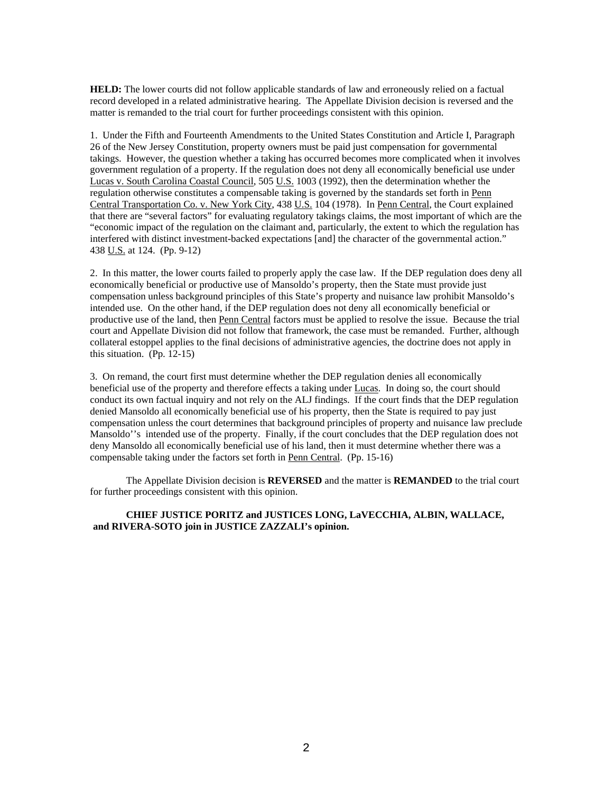**HELD:** The lower courts did not follow applicable standards of law and erroneously relied on a factual record developed in a related administrative hearing. The Appellate Division decision is reversed and the matter is remanded to the trial court for further proceedings consistent with this opinion.

1. Under the Fifth and Fourteenth Amendments to the United States Constitution and Article I, Paragraph 26 of the New Jersey Constitution, property owners must be paid just compensation for governmental takings. However, the question whether a taking has occurred becomes more complicated when it involves government regulation of a property. If the regulation does not deny all economically beneficial use under Lucas v. South Carolina Coastal Council, 505 U.S. 1003 (1992), then the determination whether the regulation otherwise constitutes a compensable taking is governed by the standards set forth in Penn Central Transportation Co. v. New York City, 438 U.S. 104 (1978). In Penn Central, the Court explained that there are "several factors" for evaluating regulatory takings claims, the most important of which are the "economic impact of the regulation on the claimant and, particularly, the extent to which the regulation has interfered with distinct investment-backed expectations [and] the character of the governmental action." 438 U.S. at 124. (Pp. 9-12)

2. In this matter, the lower courts failed to properly apply the case law. If the DEP regulation does deny all economically beneficial or productive use of Mansoldo's property, then the State must provide just compensation unless background principles of this State's property and nuisance law prohibit Mansoldo's intended use. On the other hand, if the DEP regulation does not deny all economically beneficial or productive use of the land, then Penn Central factors must be applied to resolve the issue. Because the trial court and Appellate Division did not follow that framework, the case must be remanded. Further, although collateral estoppel applies to the final decisions of administrative agencies, the doctrine does not apply in this situation. (Pp. 12-15)

3. On remand, the court first must determine whether the DEP regulation denies all economically beneficial use of the property and therefore effects a taking under Lucas. In doing so, the court should conduct its own factual inquiry and not rely on the ALJ findings. If the court finds that the DEP regulation denied Mansoldo all economically beneficial use of his property, then the State is required to pay just compensation unless the court determines that background principles of property and nuisance law preclude Mansoldo''s intended use of the property. Finally, if the court concludes that the DEP regulation does not deny Mansoldo all economically beneficial use of his land, then it must determine whether there was a compensable taking under the factors set forth in Penn Central. (Pp. 15-16)

 The Appellate Division decision is **REVERSED** and the matter is **REMANDED** to the trial court for further proceedings consistent with this opinion.

### **CHIEF JUSTICE PORITZ and JUSTICES LONG, LaVECCHIA, ALBIN, WALLACE, and RIVERA-SOTO join in JUSTICE ZAZZALI's opinion.**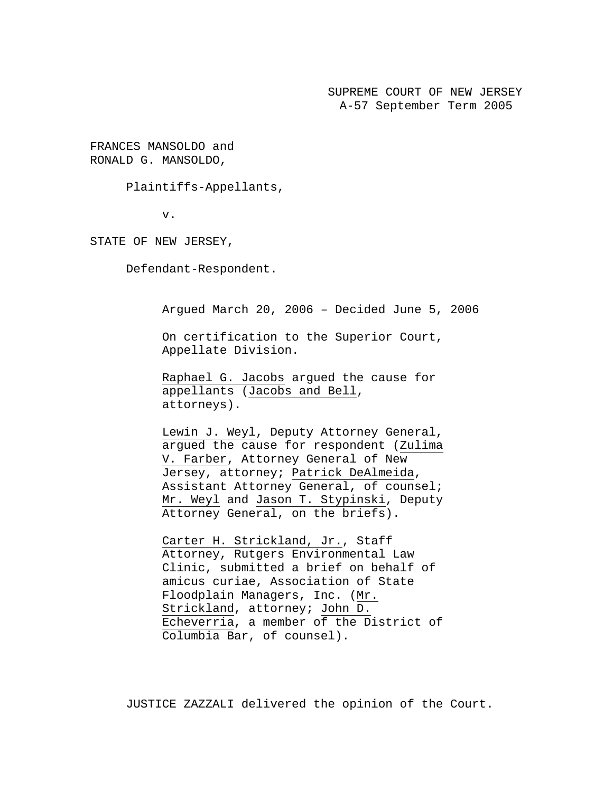SUPREME COURT OF NEW JERSEY A-57 September Term 2005

FRANCES MANSOLDO and RONALD G. MANSOLDO,

Plaintiffs-Appellants,

v.

STATE OF NEW JERSEY,

Defendant-Respondent.

Argued March 20, 2006 – Decided June 5, 2006

On certification to the Superior Court, Appellate Division.

Raphael G. Jacobs argued the cause for appellants (Jacobs and Bell, attorneys).

Lewin J. Weyl, Deputy Attorney General, argued the cause for respondent (Zulima V. Farber, Attorney General of New Jersey, attorney; Patrick DeAlmeida, Assistant Attorney General, of counsel; Mr. Weyl and Jason T. Stypinski, Deputy Attorney General, on the briefs).

Carter H. Strickland, Jr., Staff Attorney, Rutgers Environmental Law Clinic, submitted a brief on behalf of amicus curiae, Association of State Floodplain Managers, Inc. (Mr. Strickland, attorney; John D. Echeverria, a member of the District of Columbia Bar, of counsel).

JUSTICE ZAZZALI delivered the opinion of the Court.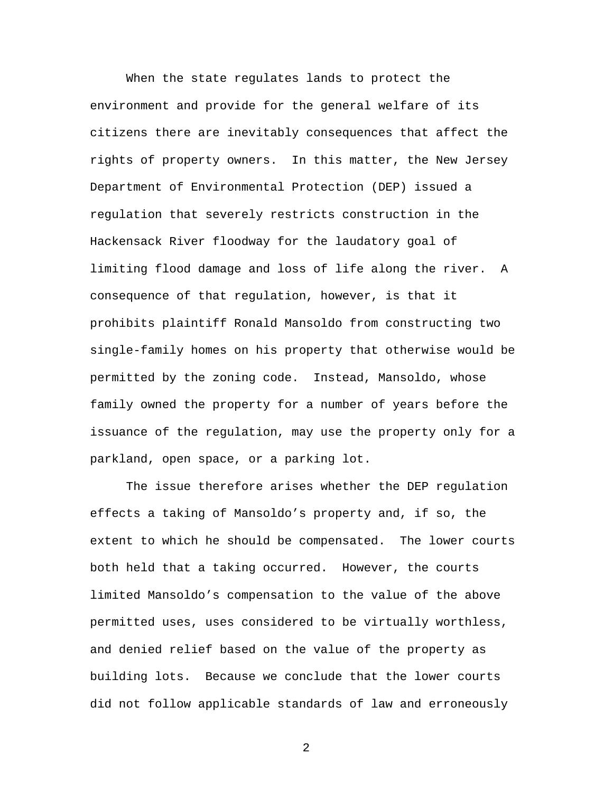When the state regulates lands to protect the environment and provide for the general welfare of its citizens there are inevitably consequences that affect the rights of property owners. In this matter, the New Jersey Department of Environmental Protection (DEP) issued a regulation that severely restricts construction in the Hackensack River floodway for the laudatory goal of limiting flood damage and loss of life along the river. A consequence of that regulation, however, is that it prohibits plaintiff Ronald Mansoldo from constructing two single-family homes on his property that otherwise would be permitted by the zoning code. Instead, Mansoldo, whose family owned the property for a number of years before the issuance of the regulation, may use the property only for a parkland, open space, or a parking lot.

The issue therefore arises whether the DEP regulation effects a taking of Mansoldo's property and, if so, the extent to which he should be compensated. The lower courts both held that a taking occurred. However, the courts limited Mansoldo's compensation to the value of the above permitted uses, uses considered to be virtually worthless, and denied relief based on the value of the property as building lots. Because we conclude that the lower courts did not follow applicable standards of law and erroneously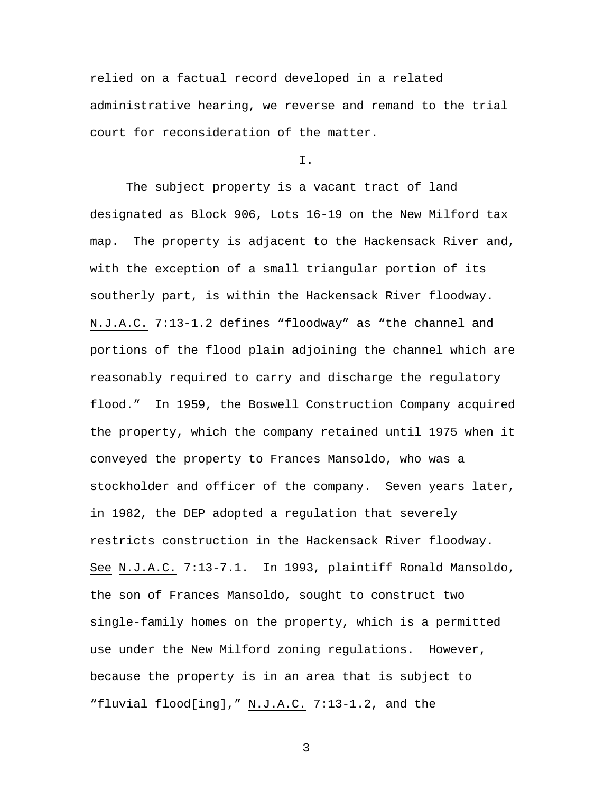relied on a factual record developed in a related administrative hearing, we reverse and remand to the trial court for reconsideration of the matter.

I.

 The subject property is a vacant tract of land designated as Block 906, Lots 16-19 on the New Milford tax map. The property is adjacent to the Hackensack River and, with the exception of a small triangular portion of its southerly part, is within the Hackensack River floodway. N.J.A.C. 7:13-1.2 defines "floodway" as "the channel and portions of the flood plain adjoining the channel which are reasonably required to carry and discharge the regulatory flood." In 1959, the Boswell Construction Company acquired the property, which the company retained until 1975 when it conveyed the property to Frances Mansoldo, who was a stockholder and officer of the company. Seven years later, in 1982, the DEP adopted a regulation that severely restricts construction in the Hackensack River floodway. See N.J.A.C. 7:13-7.1. In 1993, plaintiff Ronald Mansoldo, the son of Frances Mansoldo, sought to construct two single-family homes on the property, which is a permitted use under the New Milford zoning regulations. However, because the property is in an area that is subject to "fluvial flood[ing]," N.J.A.C. 7:13-1.2, and the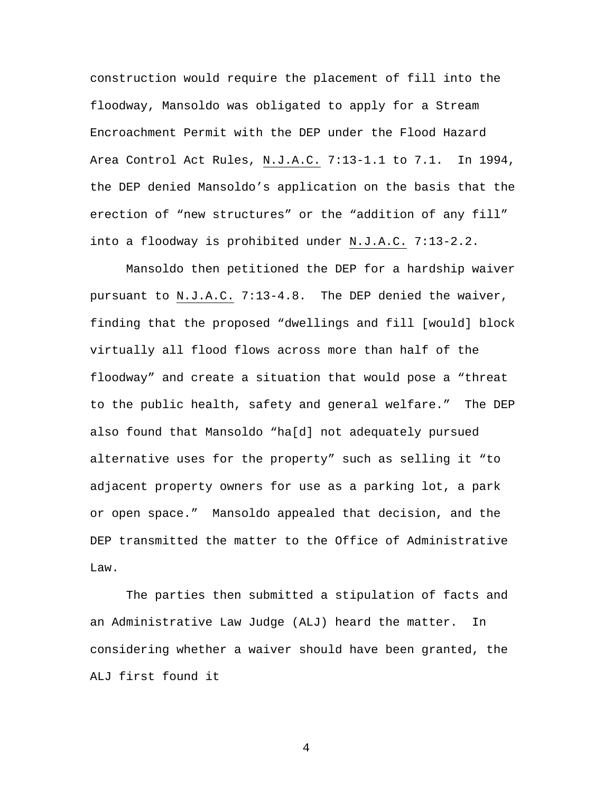construction would require the placement of fill into the floodway, Mansoldo was obligated to apply for a Stream Encroachment Permit with the DEP under the Flood Hazard Area Control Act Rules, N.J.A.C. 7:13-1.1 to 7.1. In 1994, the DEP denied Mansoldo's application on the basis that the erection of "new structures" or the "addition of any fill" into a floodway is prohibited under N.J.A.C. 7:13-2.2.

Mansoldo then petitioned the DEP for a hardship waiver pursuant to N.J.A.C. 7:13-4.8. The DEP denied the waiver, finding that the proposed "dwellings and fill [would] block virtually all flood flows across more than half of the floodway" and create a situation that would pose a "threat to the public health, safety and general welfare." The DEP also found that Mansoldo "ha[d] not adequately pursued alternative uses for the property" such as selling it "to adjacent property owners for use as a parking lot, a park or open space." Mansoldo appealed that decision, and the DEP transmitted the matter to the Office of Administrative Law.

The parties then submitted a stipulation of facts and an Administrative Law Judge (ALJ) heard the matter. In considering whether a waiver should have been granted, the ALJ first found it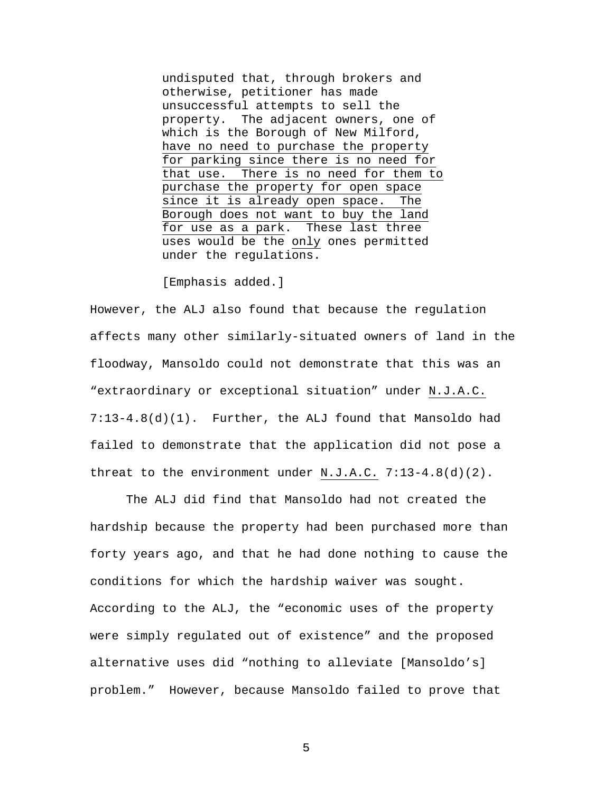undisputed that, through brokers and otherwise, petitioner has made unsuccessful attempts to sell the property. The adjacent owners, one of which is the Borough of New Milford, have no need to purchase the property for parking since there is no need for that use. There is no need for them to purchase the property for open space since it is already open space. The Borough does not want to buy the land for use as a park. These last three uses would be the only ones permitted under the regulations.

[Emphasis added.]

However, the ALJ also found that because the regulation affects many other similarly-situated owners of land in the floodway, Mansoldo could not demonstrate that this was an "extraordinary or exceptional situation" under N.J.A.C. 7:13-4.8(d)(1). Further, the ALJ found that Mansoldo had failed to demonstrate that the application did not pose a threat to the environment under N.J.A.C. 7:13-4.8(d)(2).

The ALJ did find that Mansoldo had not created the hardship because the property had been purchased more than forty years ago, and that he had done nothing to cause the conditions for which the hardship waiver was sought. According to the ALJ, the "economic uses of the property were simply regulated out of existence" and the proposed alternative uses did "nothing to alleviate [Mansoldo's] problem." However, because Mansoldo failed to prove that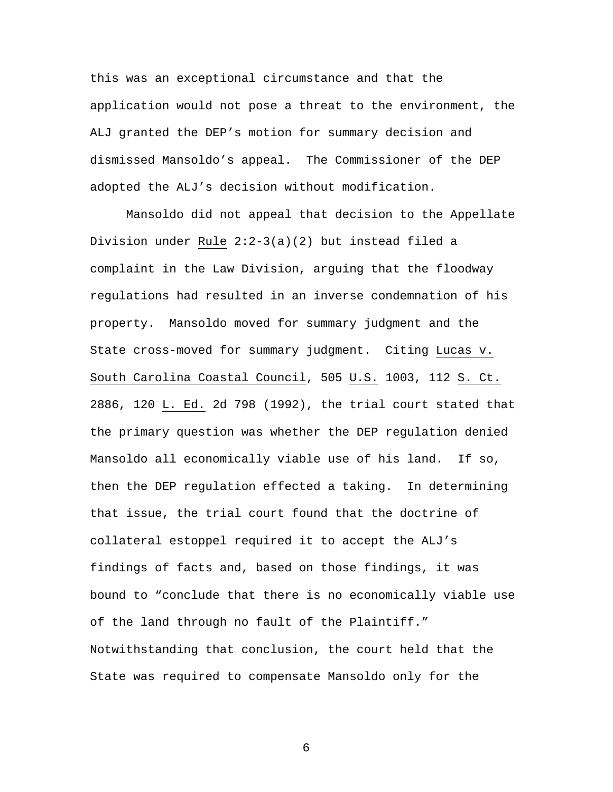this was an exceptional circumstance and that the application would not pose a threat to the environment, the ALJ granted the DEP's motion for summary decision and dismissed Mansoldo's appeal. The Commissioner of the DEP adopted the ALJ's decision without modification.

 Mansoldo did not appeal that decision to the Appellate Division under Rule 2:2-3(a)(2) but instead filed a complaint in the Law Division, arguing that the floodway regulations had resulted in an inverse condemnation of his property. Mansoldo moved for summary judgment and the State cross-moved for summary judgment. Citing Lucas v. South Carolina Coastal Council, 505 U.S. 1003, 112 S. Ct. 2886, 120 L. Ed. 2d 798 (1992), the trial court stated that the primary question was whether the DEP regulation denied Mansoldo all economically viable use of his land. If so, then the DEP regulation effected a taking. In determining that issue, the trial court found that the doctrine of collateral estoppel required it to accept the ALJ's findings of facts and, based on those findings, it was bound to "conclude that there is no economically viable use of the land through no fault of the Plaintiff." Notwithstanding that conclusion, the court held that the State was required to compensate Mansoldo only for the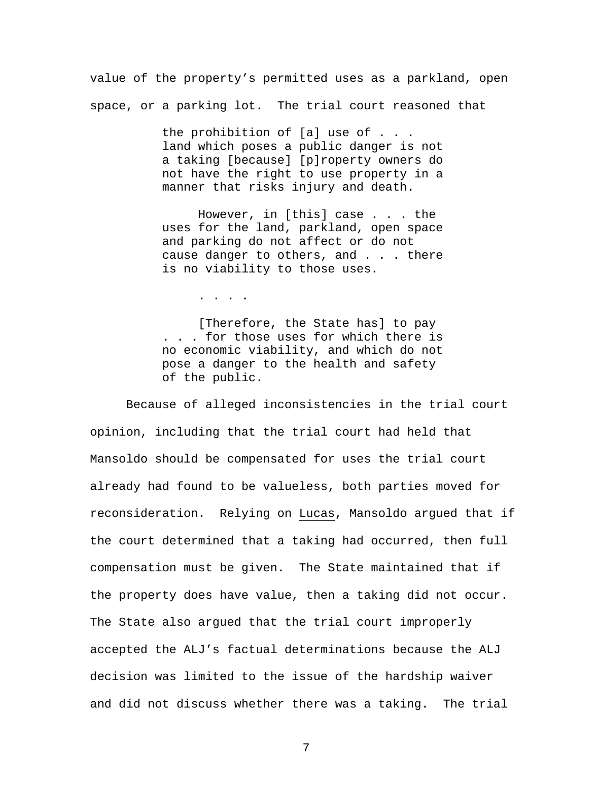value of the property's permitted uses as a parkland, open space, or a parking lot. The trial court reasoned that

> the prohibition of [a] use of . . . land which poses a public danger is not a taking [because] [p]roperty owners do not have the right to use property in a manner that risks injury and death.

> However, in [this] case . . . the uses for the land, parkland, open space and parking do not affect or do not cause danger to others, and . . . there is no viability to those uses.

> > . . . .

[Therefore, the State has] to pay . . . for those uses for which there is no economic viability, and which do not pose a danger to the health and safety of the public.

Because of alleged inconsistencies in the trial court opinion, including that the trial court had held that Mansoldo should be compensated for uses the trial court already had found to be valueless, both parties moved for reconsideration. Relying on Lucas, Mansoldo argued that if the court determined that a taking had occurred, then full compensation must be given. The State maintained that if the property does have value, then a taking did not occur. The State also argued that the trial court improperly accepted the ALJ's factual determinations because the ALJ decision was limited to the issue of the hardship waiver and did not discuss whether there was a taking. The trial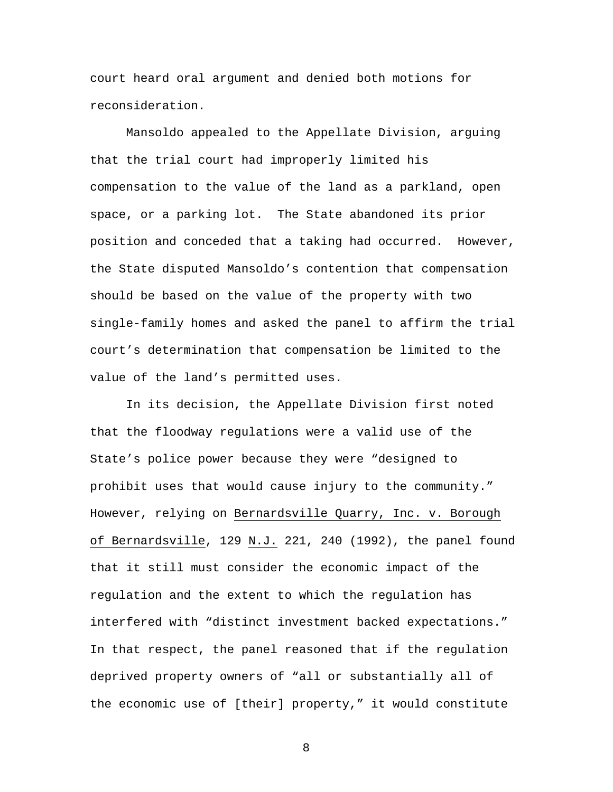court heard oral argument and denied both motions for reconsideration.

 Mansoldo appealed to the Appellate Division, arguing that the trial court had improperly limited his compensation to the value of the land as a parkland, open space, or a parking lot. The State abandoned its prior position and conceded that a taking had occurred. However, the State disputed Mansoldo's contention that compensation should be based on the value of the property with two single-family homes and asked the panel to affirm the trial court's determination that compensation be limited to the value of the land's permitted uses.

In its decision, the Appellate Division first noted that the floodway regulations were a valid use of the State's police power because they were "designed to prohibit uses that would cause injury to the community." However, relying on Bernardsville Quarry, Inc. v. Borough of Bernardsville, 129 N.J. 221, 240 (1992), the panel found that it still must consider the economic impact of the regulation and the extent to which the regulation has interfered with "distinct investment backed expectations." In that respect, the panel reasoned that if the regulation deprived property owners of "all or substantially all of the economic use of [their] property," it would constitute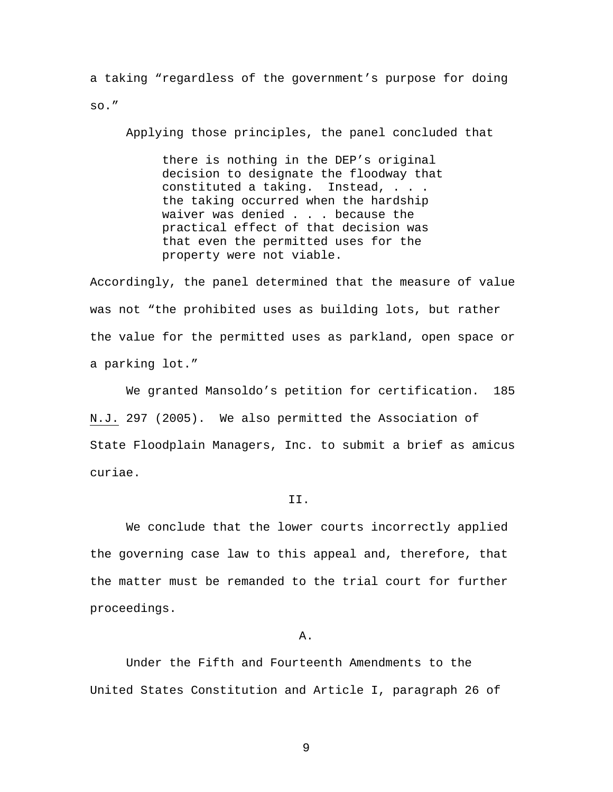a taking "regardless of the government's purpose for doing so."

Applying those principles, the panel concluded that

there is nothing in the DEP's original decision to designate the floodway that constituted a taking. Instead, . . . the taking occurred when the hardship waiver was denied . . . because the practical effect of that decision was that even the permitted uses for the property were not viable.

Accordingly, the panel determined that the measure of value was not "the prohibited uses as building lots, but rather the value for the permitted uses as parkland, open space or a parking lot."

 We granted Mansoldo's petition for certification. 185 N.J. 297 (2005). We also permitted the Association of State Floodplain Managers, Inc. to submit a brief as amicus curiae.

### II.

We conclude that the lower courts incorrectly applied the governing case law to this appeal and, therefore, that the matter must be remanded to the trial court for further proceedings.

### A.

 Under the Fifth and Fourteenth Amendments to the United States Constitution and Article I, paragraph 26 of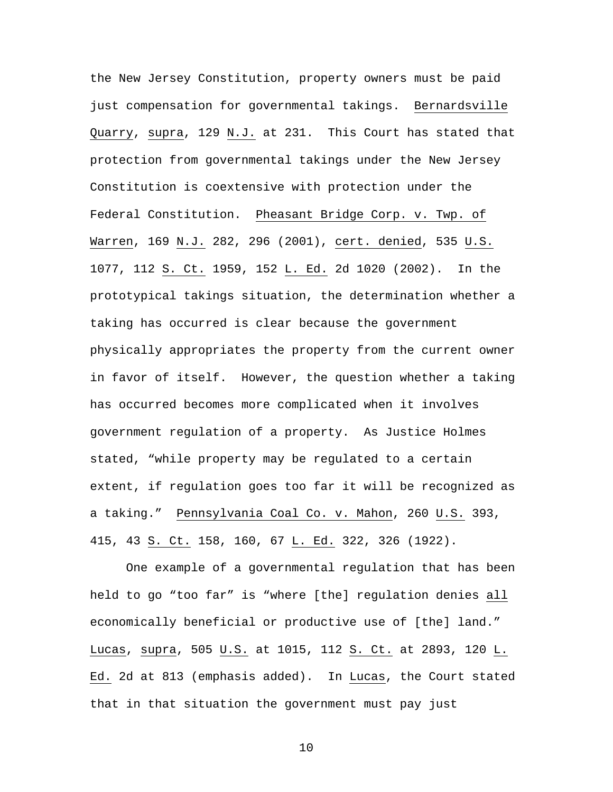the New Jersey Constitution, property owners must be paid just compensation for governmental takings. Bernardsville Quarry, supra, 129 N.J. at 231. This Court has stated that protection from governmental takings under the New Jersey Constitution is coextensive with protection under the Federal Constitution. Pheasant Bridge Corp. v. Twp. of Warren, 169 N.J. 282, 296 (2001), cert. denied, 535 U.S. 1077, 112 S. Ct. 1959, 152 L. Ed. 2d 1020 (2002). In the prototypical takings situation, the determination whether a taking has occurred is clear because the government physically appropriates the property from the current owner in favor of itself. However, the question whether a taking has occurred becomes more complicated when it involves government regulation of a property. As Justice Holmes stated, "while property may be regulated to a certain extent, if regulation goes too far it will be recognized as a taking." Pennsylvania Coal Co. v. Mahon, 260 U.S. 393, 415, 43 S. Ct. 158, 160, 67 L. Ed. 322, 326 (1922).

One example of a governmental regulation that has been held to go "too far" is "where [the] regulation denies all economically beneficial or productive use of [the] land." Lucas, supra, 505 U.S. at 1015, 112 S. Ct. at 2893, 120 L. Ed. 2d at 813 (emphasis added). In Lucas, the Court stated that in that situation the government must pay just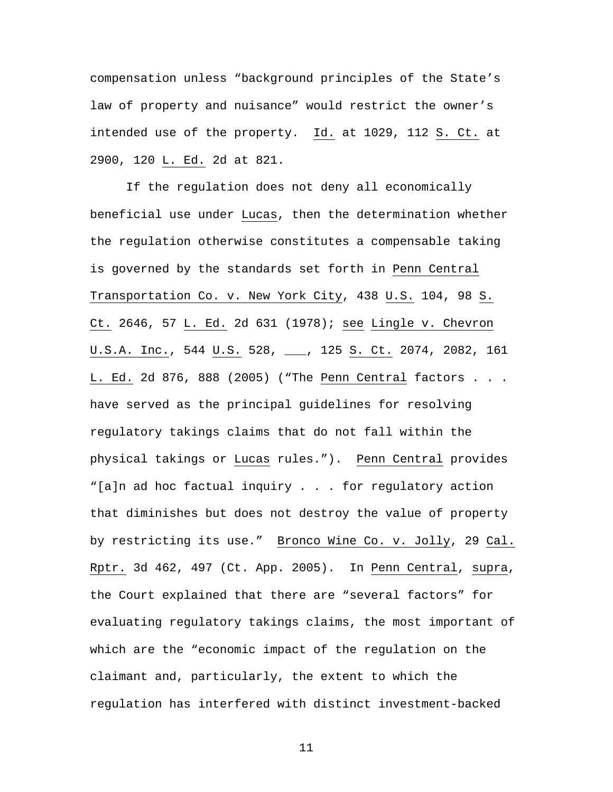compensation unless "background principles of the State's law of property and nuisance" would restrict the owner's intended use of the property. Id. at 1029, 112 S. Ct. at 2900, 120 L. Ed. 2d at 821.

If the regulation does not deny all economically beneficial use under Lucas, then the determination whether the regulation otherwise constitutes a compensable taking is governed by the standards set forth in Penn Central Transportation Co. v. New York City, 438 U.S. 104, 98 S. Ct. 2646, 57 L. Ed. 2d 631 (1978); see Lingle v. Chevron U.S.A. Inc., 544 U.S. 528, \_\_, 125 S. Ct. 2074, 2082, 161 L. Ed. 2d 876, 888 (2005) ("The Penn Central factors . . . have served as the principal guidelines for resolving regulatory takings claims that do not fall within the physical takings or Lucas rules."). Penn Central provides "[a]n ad hoc factual inquiry . . . for regulatory action that diminishes but does not destroy the value of property by restricting its use." Bronco Wine Co. v. Jolly, 29 Cal. Rptr. 3d 462, 497 (Ct. App. 2005). In Penn Central, supra, the Court explained that there are "several factors" for evaluating regulatory takings claims, the most important of which are the "economic impact of the regulation on the claimant and, particularly, the extent to which the regulation has interfered with distinct investment-backed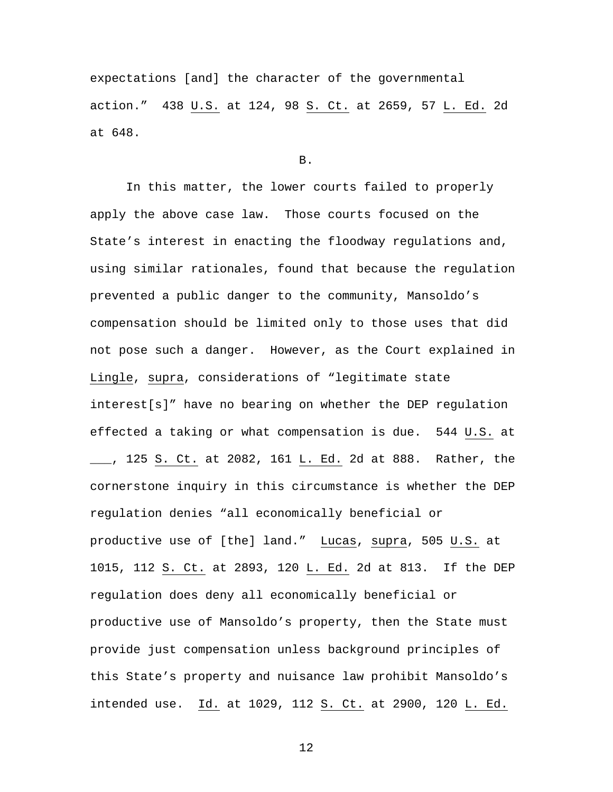expectations [and] the character of the governmental action." 438 U.S. at 124, 98 S. Ct. at 2659, 57 L. Ed. 2d at 648.

## B.

In this matter, the lower courts failed to properly apply the above case law. Those courts focused on the State's interest in enacting the floodway regulations and, using similar rationales, found that because the regulation prevented a public danger to the community, Mansoldo's compensation should be limited only to those uses that did not pose such a danger. However, as the Court explained in Lingle, supra, considerations of "legitimate state interest[s]" have no bearing on whether the DEP regulation effected a taking or what compensation is due. 544 U.S. at \_\_\_, 125 S. Ct. at 2082, 161 L. Ed. 2d at 888. Rather, the cornerstone inquiry in this circumstance is whether the DEP regulation denies "all economically beneficial or productive use of [the] land." Lucas, supra, 505 U.S. at 1015, 112 S. Ct. at 2893, 120 L. Ed. 2d at 813. If the DEP regulation does deny all economically beneficial or productive use of Mansoldo's property, then the State must provide just compensation unless background principles of this State's property and nuisance law prohibit Mansoldo's intended use. Id. at 1029, 112 S. Ct. at 2900, 120 L. Ed.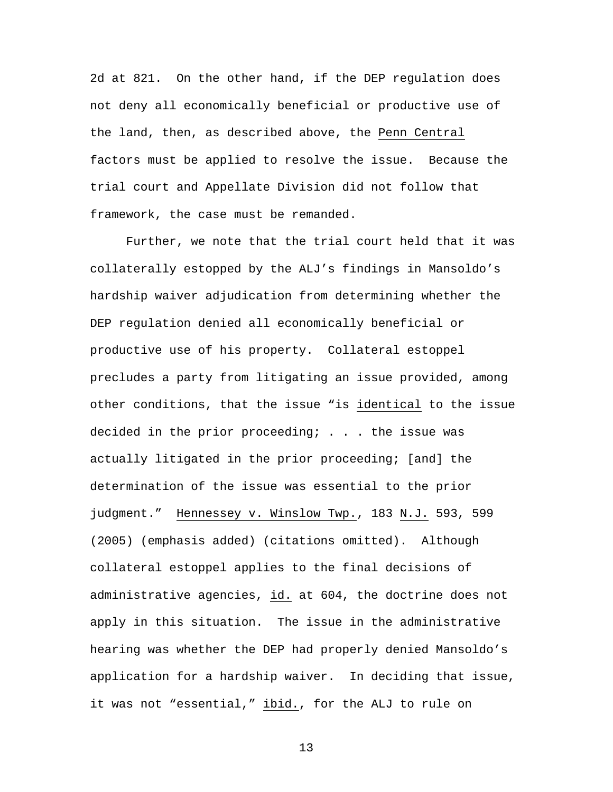2d at 821. On the other hand, if the DEP regulation does not deny all economically beneficial or productive use of the land, then, as described above, the Penn Central factors must be applied to resolve the issue. Because the trial court and Appellate Division did not follow that framework, the case must be remanded.

Further, we note that the trial court held that it was collaterally estopped by the ALJ's findings in Mansoldo's hardship waiver adjudication from determining whether the DEP regulation denied all economically beneficial or productive use of his property. Collateral estoppel precludes a party from litigating an issue provided, among other conditions, that the issue "is identical to the issue decided in the prior proceeding; . . . the issue was actually litigated in the prior proceeding; [and] the determination of the issue was essential to the prior judgment." Hennessey v. Winslow Twp., 183 N.J. 593, 599 (2005) (emphasis added) (citations omitted). Although collateral estoppel applies to the final decisions of administrative agencies, id. at 604, the doctrine does not apply in this situation. The issue in the administrative hearing was whether the DEP had properly denied Mansoldo's application for a hardship waiver. In deciding that issue, it was not "essential," ibid., for the ALJ to rule on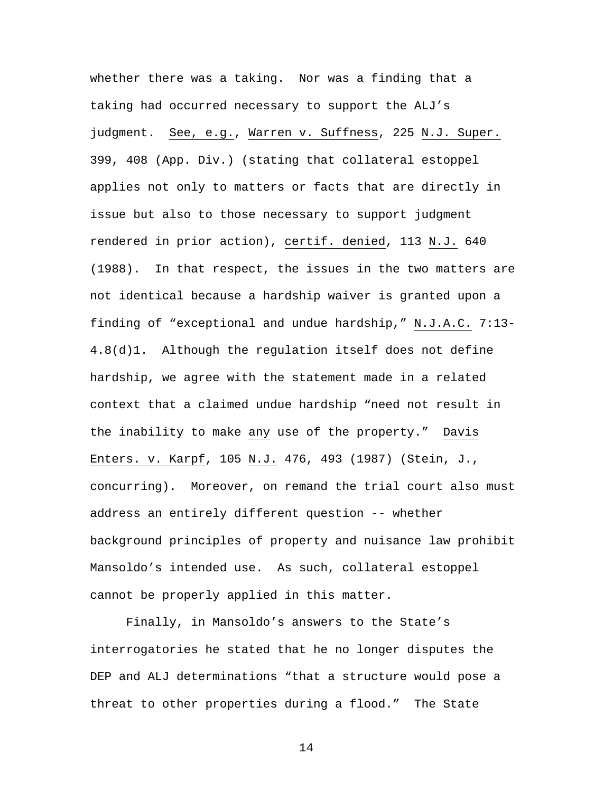whether there was a taking. Nor was a finding that a taking had occurred necessary to support the ALJ's judgment. See, e.g., Warren v. Suffness, 225 N.J. Super. 399, 408 (App. Div.) (stating that collateral estoppel applies not only to matters or facts that are directly in issue but also to those necessary to support judgment rendered in prior action), certif. denied, 113 N.J. 640 (1988). In that respect, the issues in the two matters are not identical because a hardship waiver is granted upon a finding of "exceptional and undue hardship," N.J.A.C. 7:13- 4.8(d)1. Although the regulation itself does not define hardship, we agree with the statement made in a related context that a claimed undue hardship "need not result in the inability to make any use of the property." Davis Enters. v. Karpf, 105 N.J. 476, 493 (1987) (Stein, J., concurring). Moreover, on remand the trial court also must address an entirely different question -- whether background principles of property and nuisance law prohibit Mansoldo's intended use. As such, collateral estoppel cannot be properly applied in this matter.

Finally, in Mansoldo's answers to the State's interrogatories he stated that he no longer disputes the DEP and ALJ determinations "that a structure would pose a threat to other properties during a flood." The State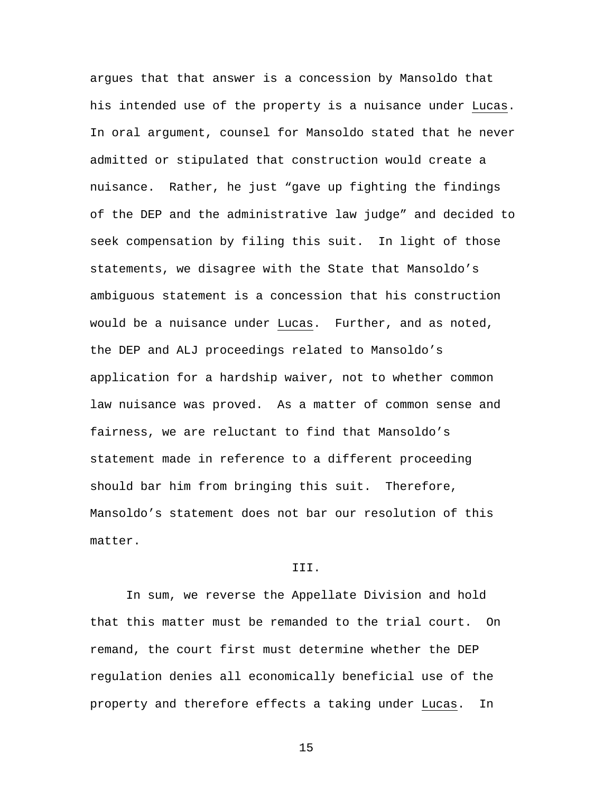argues that that answer is a concession by Mansoldo that his intended use of the property is a nuisance under Lucas. In oral argument, counsel for Mansoldo stated that he never admitted or stipulated that construction would create a nuisance. Rather, he just "gave up fighting the findings of the DEP and the administrative law judge" and decided to seek compensation by filing this suit. In light of those statements, we disagree with the State that Mansoldo's ambiguous statement is a concession that his construction would be a nuisance under Lucas. Further, and as noted, the DEP and ALJ proceedings related to Mansoldo's application for a hardship waiver, not to whether common law nuisance was proved. As a matter of common sense and fairness, we are reluctant to find that Mansoldo's statement made in reference to a different proceeding should bar him from bringing this suit. Therefore, Mansoldo's statement does not bar our resolution of this matter.

## III.

In sum, we reverse the Appellate Division and hold that this matter must be remanded to the trial court. On remand, the court first must determine whether the DEP regulation denies all economically beneficial use of the property and therefore effects a taking under Lucas. In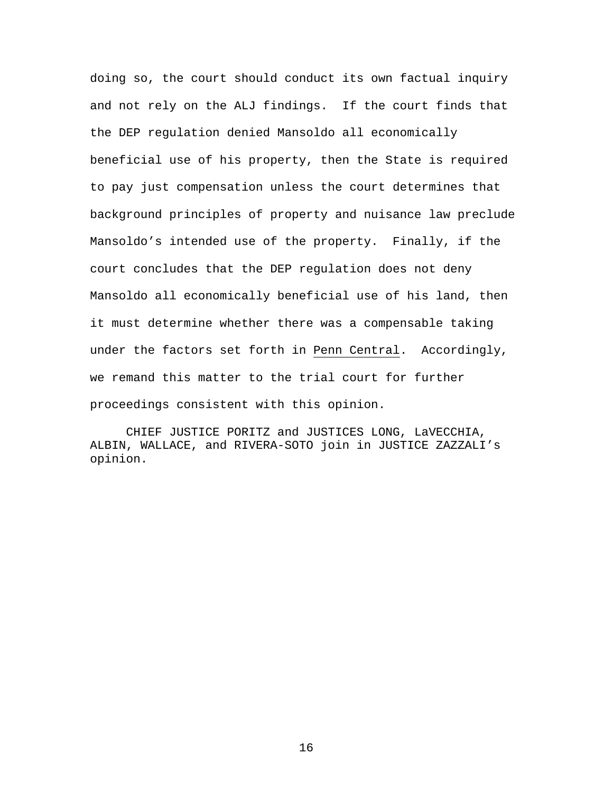doing so, the court should conduct its own factual inquiry and not rely on the ALJ findings. If the court finds that the DEP regulation denied Mansoldo all economically beneficial use of his property, then the State is required to pay just compensation unless the court determines that background principles of property and nuisance law preclude Mansoldo's intended use of the property. Finally, if the court concludes that the DEP regulation does not deny Mansoldo all economically beneficial use of his land, then it must determine whether there was a compensable taking under the factors set forth in Penn Central. Accordingly, we remand this matter to the trial court for further proceedings consistent with this opinion.

CHIEF JUSTICE PORITZ and JUSTICES LONG, LaVECCHIA, ALBIN, WALLACE, and RIVERA-SOTO join in JUSTICE ZAZZALI's opinion.